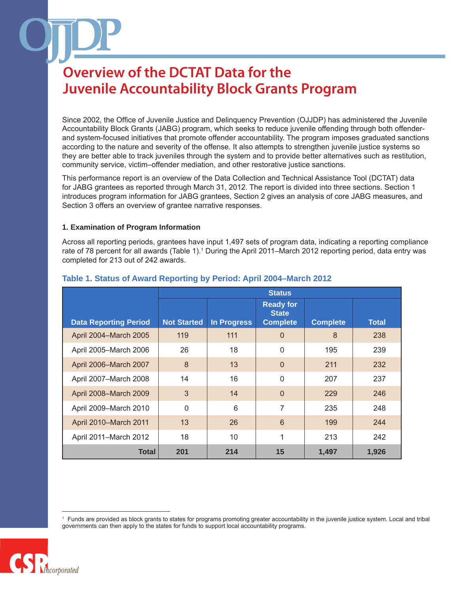Since 2002, the Office of Juvenile Justice and Delinquency Prevention (OJJDP) has administered the Juvenile Accountability Block Grants (JABG) program, which seeks to reduce juvenile offending through both offenderand system-focused initiatives that promote offender accountability. The program imposes graduated sanctions according to the nature and severity of the offense. It also attempts to strengthen juvenile justice systems so they are better able to track juveniles through the system and to provide better alternatives such as restitution, community service, victim–offender mediation, and other restorative justice sanctions.

This performance report is an overview of the Data Collection and Technical Assistance Tool (DCTAT) data for JABG grantees as reported through March 31, 2012. The report is divided into three sections. Section 1 introduces program information for JABG grantees, Section 2 gives an analysis of core JABG measures, and Section 3 offers an overview of grantee narrative responses.

#### **1. Examination of Program Information**

Across all reporting periods, grantees have input 1,497 sets of program data, indicating a reporting compliance rate of 78 percent for all awards (Table 1).<sup>1</sup> During the April 2011–March 2012 reporting period, data entry was completed for 213 out of 242 awards.

|                              | <b>Status</b>      |                    |                                                     |                 |              |
|------------------------------|--------------------|--------------------|-----------------------------------------------------|-----------------|--------------|
| <b>Data Reporting Period</b> | <b>Not Started</b> | <b>In Progress</b> | <b>Ready for</b><br><b>State</b><br><b>Complete</b> | <b>Complete</b> | <b>Total</b> |
| April 2004-March 2005        | 119                | 111                | $\overline{0}$                                      | 8               | 238          |
| April 2005-March 2006        | 26                 | 18                 | $\mathbf 0$                                         | 195             | 239          |
| April 2006-March 2007        | 8                  | 13                 | $\overline{0}$                                      | 211             | 232          |
| April 2007-March 2008        | 14                 | 16                 | $\Omega$                                            | 207             | 237          |
| April 2008-March 2009        | 3                  | 14                 | $\Omega$                                            | 229             | 246          |
| April 2009-March 2010        | $\Omega$           | 6                  | 7                                                   | 235             | 248          |
| April 2010-March 2011        | 13                 | 26                 | 6                                                   | 199             | 244          |
| April 2011-March 2012        | 18                 | 10                 | 1                                                   | 213             | 242          |
| Total                        | 201                | 214                | 15                                                  | 1,497           | 1,926        |

#### **Table 1. Status of Award Reporting by Period: April 2004–March 2012**

<sup>1</sup> Funds are provided as block grants to states for programs promoting greater accountability in the juvenile justice system. Local and tribal governments can then apply to the states for funds to support local accountability programs.

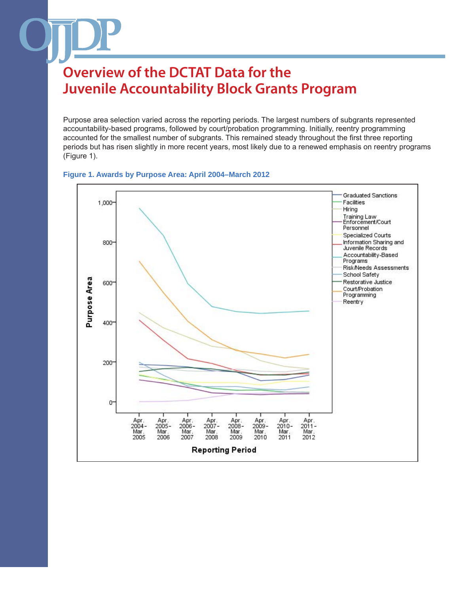Purpose area selection varied across the reporting periods. The largest numbers of subgrants represented accountability-based programs, followed by court/probation programming. Initially, reentry programming accounted for the smallest number of subgrants. This remained steady throughout the first three reporting periods but has risen slightly in more recent years, most likely due to a renewed emphasis on reentry programs (Figure 1).



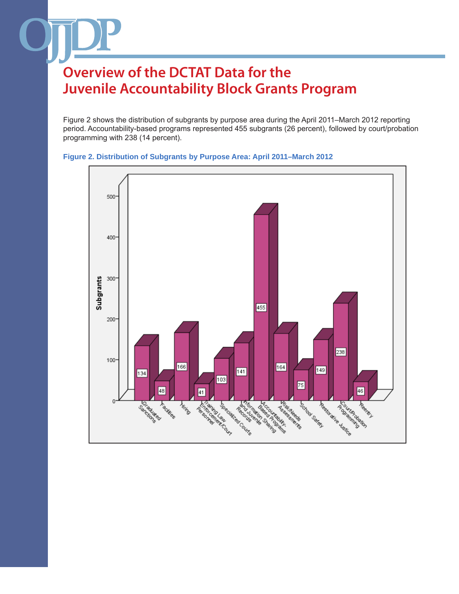Figure 2 shows the distribution of subgrants by purpose area during the April 2011–March 2012 reporting period. Accountability-based programs represented 455 subgrants (26 percent), followed by court/probation programming with 238 (14 percent).



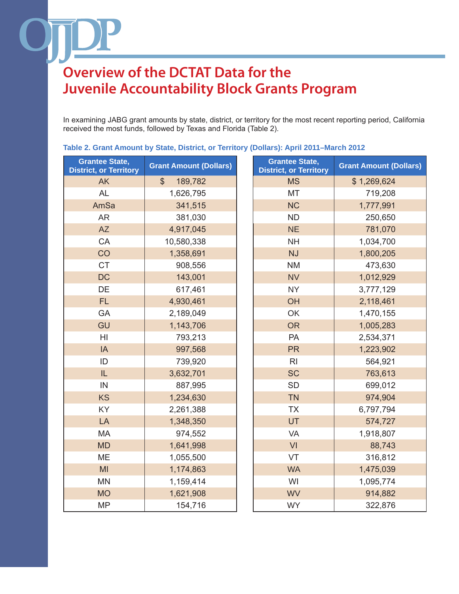In examining JABG grant amounts by state, district, or territory for the most recent reporting period, California received the most funds, followed by Texas and Florida (Table 2).

**Table 2. Grant Amount by State, District, or Territory (Dollars): April 2011–March 2012**

| <b>Grantee State,</b><br><b>District, or Territory</b> | <b>Grant Amount (Dollars)</b> | <b>Grantee State,</b><br><b>District, or Territory</b> | <b>Grant Amount (Dollars)</b> |
|--------------------------------------------------------|-------------------------------|--------------------------------------------------------|-------------------------------|
| <b>AK</b>                                              | $\mathbb{S}$<br>189,782       | <b>MS</b>                                              | \$1,269,624                   |
| <b>AL</b>                                              | 1,626,795                     | MT                                                     | 719,208                       |
| AmSa                                                   | 341,515                       | <b>NC</b>                                              | 1,777,991                     |
| <b>AR</b>                                              | 381,030                       | <b>ND</b>                                              | 250,650                       |
| <b>AZ</b>                                              | 4,917,045                     | <b>NE</b>                                              | 781,070                       |
| CA                                                     | 10,580,338                    | <b>NH</b>                                              | 1,034,700                     |
| CO                                                     | 1,358,691                     | <b>NJ</b>                                              | 1,800,205                     |
| <b>CT</b>                                              | 908,556                       | <b>NM</b>                                              | 473,630                       |
| <b>DC</b>                                              | 143,001                       | <b>NV</b>                                              | 1,012,929                     |
| DE                                                     | 617,461                       | <b>NY</b>                                              | 3,777,129                     |
| <b>FL</b>                                              | 4,930,461                     | OH                                                     | 2,118,461                     |
| GA                                                     | 2,189,049                     | OK                                                     | 1,470,155                     |
| GU                                                     | 1,143,706                     | <b>OR</b>                                              | 1,005,283                     |
| H <sub>l</sub>                                         | 793,213                       | PA                                                     | 2,534,371                     |
| IA                                                     | 997,568                       | <b>PR</b>                                              | 1,223,902                     |
| ID                                                     | 739,920                       | R <sub>l</sub>                                         | 564,921                       |
| IL                                                     | 3,632,701                     | <b>SC</b>                                              | 763,613                       |
| IN                                                     | 887,995                       | <b>SD</b>                                              | 699,012                       |
| <b>KS</b>                                              | 1,234,630                     | <b>TN</b>                                              | 974,904                       |
| KY                                                     | 2,261,388                     | <b>TX</b>                                              | 6,797,794                     |
| LA                                                     | 1,348,350                     | UT                                                     | 574,727                       |
| MA                                                     | 974,552                       | VA                                                     | 1,918,807                     |
| <b>MD</b>                                              | 1,641,998                     | VI                                                     | 88,743                        |
| <b>ME</b>                                              | 1,055,500                     | VT                                                     | 316,812                       |
| MI                                                     | 1,174,863                     | <b>WA</b>                                              | 1,475,039                     |
| <b>MN</b>                                              | 1,159,414                     | WI                                                     | 1,095,774                     |
| <b>MO</b>                                              | 1,621,908                     | <b>WV</b>                                              | 914,882                       |
| <b>MP</b>                                              | 154,716                       | <b>WY</b>                                              | 322,876                       |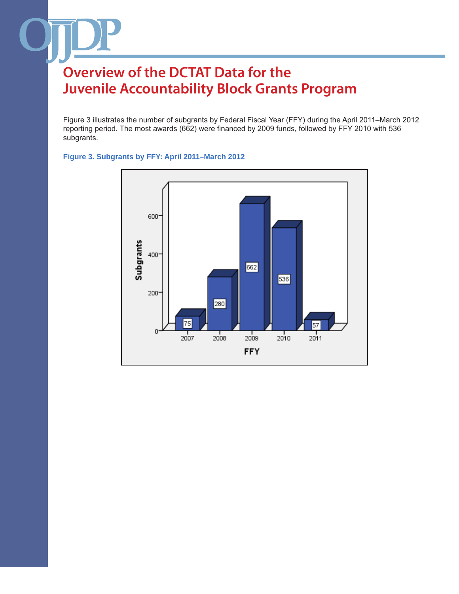Figure 3 illustrates the number of subgrants by Federal Fiscal Year (FFY) during the April 2011–March 2012 reporting period. The most awards (662) were financed by 2009 funds, followed by FFY 2010 with 536 subgrants.



#### **Figure 3. Subgrants by FFY: April 2011–March 2012**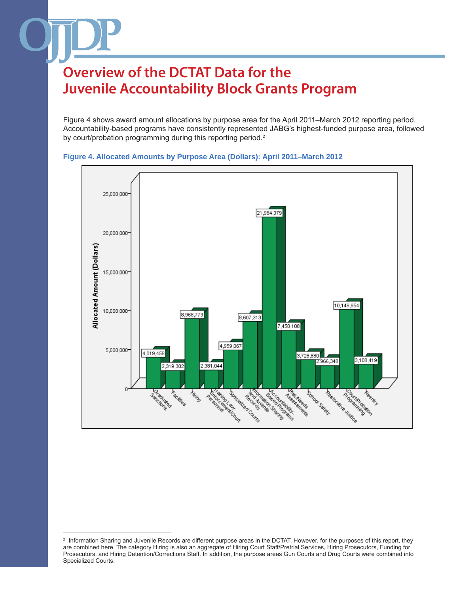Figure 4 shows award amount allocations by purpose area for the April 2011–March 2012 reporting period. Accountability-based programs have consistently represented JABG's highest-funded purpose area, followed by court/probation programming during this reporting period.<sup>2</sup>





<sup>&</sup>lt;sup>2</sup> Information Sharing and Juvenile Records are different purpose areas in the DCTAT. However, for the purposes of this report, they are combined here. The category Hiring is also an aggregate of Hiring Court Staff/Pretrial Services, Hiring Prosecutors, Funding for Prosecutors, and Hiring Detention/Corrections Staff. In addition, the purpose areas Gun Courts and Drug Courts were combined into Specialized Courts.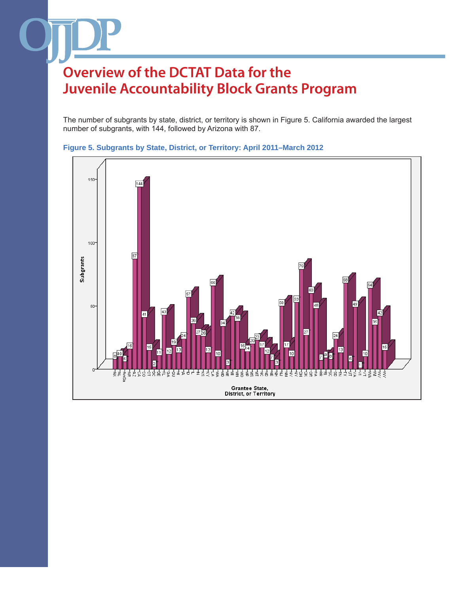The number of subgrants by state, district, or territory is shown in Figure 5. California awarded the largest number of subgrants, with 144, followed by Arizona with 87.



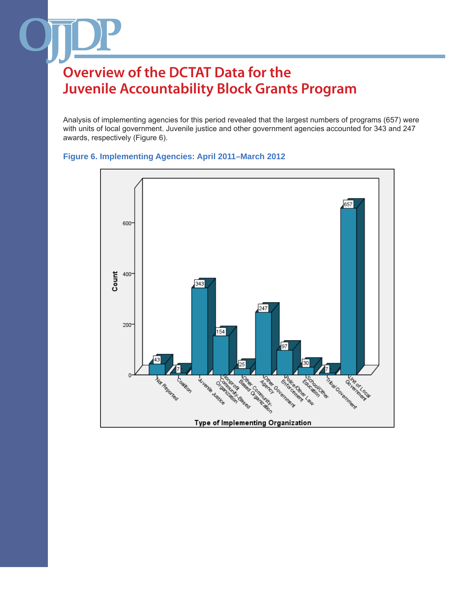Analysis of implementing agencies for this period revealed that the largest numbers of programs (657) were with units of local government. Juvenile justice and other government agencies accounted for 343 and 247 awards, respectively (Figure 6).



#### **Figure 6. Implementing Agencies: April 2011–March 2012**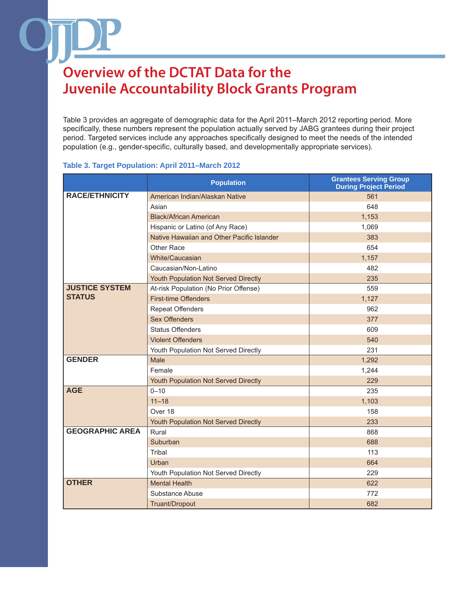Table 3 provides an aggregate of demographic data for the April 2011–March 2012 reporting period. More specifically, these numbers represent the population actually served by JABG grantees during their project period. Targeted services include any approaches specifically designed to meet the needs of the intended population (e.g., gender-specific, culturally based, and developmentally appropriate services).

#### **Table 3. Target Population: April 2011–March 2012**

|                        | <b>Population</b>                          | <b>Grantees Serving Group</b><br><b>During Project Period</b> |
|------------------------|--------------------------------------------|---------------------------------------------------------------|
| <b>RACE/ETHNICITY</b>  | American Indian/Alaskan Native             | 561                                                           |
|                        | Asian                                      | 648                                                           |
|                        | <b>Black/African American</b>              | 1,153                                                         |
|                        | Hispanic or Latino (of Any Race)           | 1,069                                                         |
|                        | Native Hawaiian and Other Pacific Islander | 383                                                           |
|                        | Other Race                                 | 654                                                           |
|                        | White/Caucasian                            | 1,157                                                         |
|                        | Caucasian/Non-Latino                       | 482                                                           |
|                        | Youth Population Not Served Directly       | 235                                                           |
| <b>JUSTICE SYSTEM</b>  | At-risk Population (No Prior Offense)      | 559                                                           |
| <b>STATUS</b>          | <b>First-time Offenders</b>                | 1,127                                                         |
|                        | <b>Repeat Offenders</b>                    | 962                                                           |
|                        | <b>Sex Offenders</b>                       | 377                                                           |
|                        | <b>Status Offenders</b>                    | 609                                                           |
|                        | <b>Violent Offenders</b>                   | 540                                                           |
|                        | Youth Population Not Served Directly       | 231                                                           |
| <b>GENDER</b>          | Male                                       | 1,292                                                         |
|                        | Female                                     | 1,244                                                         |
|                        | Youth Population Not Served Directly       | 229                                                           |
| <b>AGE</b>             | $0 - 10$                                   | 235                                                           |
|                        | $11 - 18$                                  | 1,103                                                         |
|                        | Over 18                                    | 158                                                           |
|                        | Youth Population Not Served Directly       | 233                                                           |
| <b>GEOGRAPHIC AREA</b> | Rural                                      | 868                                                           |
|                        | Suburban                                   | 688                                                           |
|                        | Tribal                                     | 113                                                           |
|                        | Urban                                      | 664                                                           |
|                        | Youth Population Not Served Directly       | 229                                                           |
| <b>OTHER</b>           | <b>Mental Health</b>                       | 622                                                           |
|                        | Substance Abuse                            | 772                                                           |
|                        | Truant/Dropout                             | 682                                                           |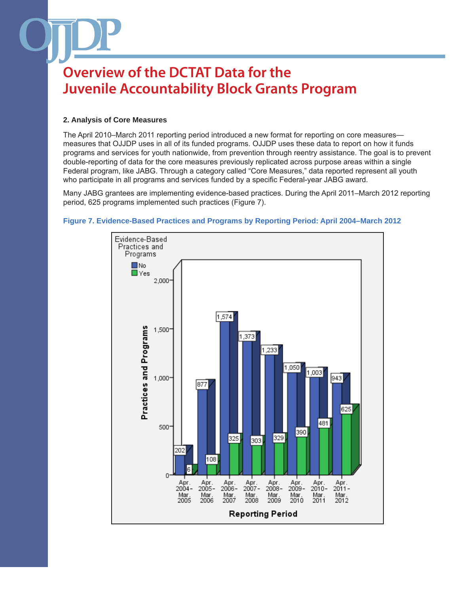#### **2. Analysis of Core Measures**

The April 2010–March 2011 reporting period introduced a new format for reporting on core measures measures that OJJDP uses in all of its funded programs. OJJDP uses these data to report on how it funds programs and services for youth nationwide, from prevention through reentry assistance. The goal is to prevent double-reporting of data for the core measures previously replicated across purpose areas within a single Federal program, like JABG. Through a category called "Core Measures," data reported represent all youth who participate in all programs and services funded by a specific Federal-year JABG award.

Many JABG grantees are implementing evidence-based practices. During the April 2011–March 2012 reporting period, 625 programs implemented such practices (Figure 7).

#### **Figure 7. Evidence-Based Practices and Programs by Reporting Period: April 2004–March 2012**

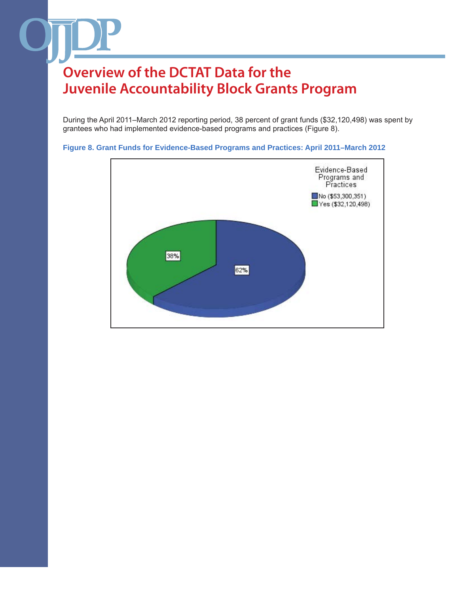During the April 2011–March 2012 reporting period, 38 percent of grant funds (\$32,120,498) was spent by grantees who had implemented evidence-based programs and practices (Figure 8).



**Figure 8. Grant Funds for Evidence-Based Programs and Practices: April 2011–March 2012**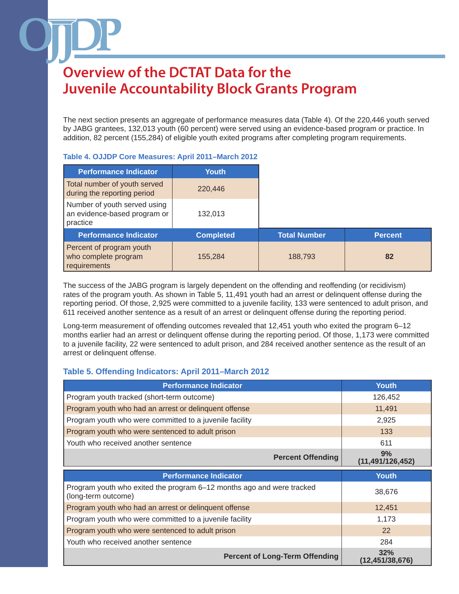The next section presents an aggregate of performance measures data (Table 4). Of the 220,446 youth served by JABG grantees, 132,013 youth (60 percent) were served using an evidence-based program or practice. In addition, 82 percent (155,284) of eligible youth exited programs after completing program requirements.

#### **Table 4. OJJDP Core Measures: April 2011–March 2012**

| <b>Performance Indicator</b>                                             | Youth            |                     |  |
|--------------------------------------------------------------------------|------------------|---------------------|--|
| Total number of youth served<br>during the reporting period              | 220,446          |                     |  |
| Number of youth served using<br>an evidence-based program or<br>practice | 132,013          |                     |  |
| <b>Performance Indicator</b>                                             | <b>Completed</b> | <b>Total Number</b> |  |
| Percent of program youth<br>who complete program<br>requirements         | 155,284          | 188,793             |  |

The success of the JABG program is largely dependent on the offending and reoffending (or recidivism) rates of the program youth. As shown in Table 5, 11,491 youth had an arrest or delinquent offense during the reporting period. Of those, 2,925 were committed to a juvenile facility, 133 were sentenced to adult prison, and 611 received another sentence as a result of an arrest or delinquent offense during the reporting period.

Long-term measurement of offending outcomes revealed that 12,451 youth who exited the program 6–12 months earlier had an arrest or delinquent offense during the reporting period. Of those, 1,173 were committed to a juvenile facility, 22 were sentenced to adult prison, and 284 received another sentence as the result of an arrest or delinquent offense.

#### **Table 5. Offending Indicators: April 2011–March 2012**

| <b>Performance Indicator</b>                                                                 | Youth                    |  |
|----------------------------------------------------------------------------------------------|--------------------------|--|
| Program youth tracked (short-term outcome)                                                   | 126,452                  |  |
| Program youth who had an arrest or delinguent offense                                        | 11,491                   |  |
| Program youth who were committed to a juvenile facility                                      | 2,925                    |  |
| Program youth who were sentenced to adult prison                                             | 133                      |  |
| Youth who received another sentence                                                          | 611                      |  |
| <b>Percent Offending</b>                                                                     | 9%<br>(11, 491/126, 452) |  |
|                                                                                              |                          |  |
| <b>Performance Indicator</b>                                                                 | Youth                    |  |
| Program youth who exited the program 6-12 months ago and were tracked<br>(long-term outcome) | 38,676                   |  |
| Program youth who had an arrest or delinguent offense                                        | 12,451                   |  |
| Program youth who were committed to a juvenile facility                                      | 1,173                    |  |
| Program youth who were sentenced to adult prison                                             | 22                       |  |
| Youth who received another sentence                                                          | 284                      |  |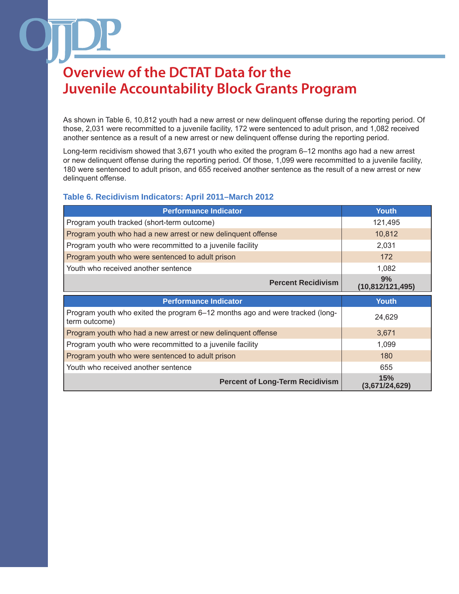As shown in Table 6, 10,812 youth had a new arrest or new delinquent offense during the reporting period. Of those, 2,031 were recommitted to a juvenile facility, 172 were sentenced to adult prison, and 1,082 received another sentence as a result of a new arrest or new delinquent offense during the reporting period.

Long-term recidivism showed that 3,671 youth who exited the program 6–12 months ago had a new arrest or new delinquent offense during the reporting period. Of those, 1,099 were recommitted to a juvenile facility, 180 were sentenced to adult prison, and 655 received another sentence as the result of a new arrest or new delinquent offense.

#### **Table 6. Recidivism Indicators: April 2011–March 2012**

| <b>Performance Indicator</b>                                                                  | <b>Youth</b>           |
|-----------------------------------------------------------------------------------------------|------------------------|
| Program youth tracked (short-term outcome)                                                    | 121,495                |
| Program youth who had a new arrest or new delinguent offense                                  | 10,812                 |
| Program youth who were recommitted to a juvenile facility                                     | 2,031                  |
| Program youth who were sentenced to adult prison                                              | 172                    |
| Youth who received another sentence                                                           | 1,082                  |
| <b>Percent Recidivism</b>                                                                     | 9%<br>(10,812/121,495) |
|                                                                                               |                        |
| <b>Performance Indicator</b>                                                                  | Youth                  |
| Program youth who exited the program 6–12 months ago and were tracked (long-<br>term outcome) | 24,629                 |
| Program youth who had a new arrest or new delinguent offense                                  | 3,671                  |
| Program youth who were recommitted to a juvenile facility                                     | 1,099                  |
| Program youth who were sentenced to adult prison                                              | 180                    |
| Youth who received another sentence                                                           | 655                    |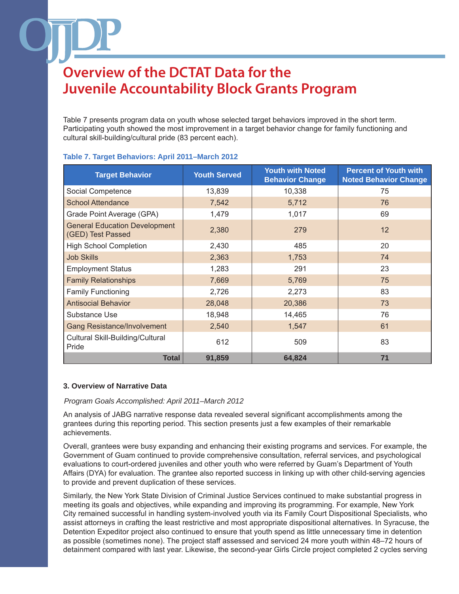Table 7 presents program data on youth whose selected target behaviors improved in the short term. Participating youth showed the most improvement in a target behavior change for family functioning and cultural skill-building/cultural pride (83 percent each).

| <b>Target Behavior</b>                                    | <b>Youth Served</b> | <b>Youth with Noted</b><br><b>Behavior Change</b> | <b>Percent of Youth with</b><br><b>Noted Behavior Change</b> |
|-----------------------------------------------------------|---------------------|---------------------------------------------------|--------------------------------------------------------------|
| Social Competence                                         | 13,839              | 10,338                                            | 75                                                           |
| <b>School Attendance</b>                                  | 7,542               | 5,712                                             | 76                                                           |
| Grade Point Average (GPA)                                 | 1,479               | 1,017                                             | 69                                                           |
| <b>General Education Development</b><br>(GED) Test Passed | 2,380               | 279                                               | $12 \overline{ }$                                            |
| <b>High School Completion</b>                             | 2,430               | 485                                               | 20                                                           |
| <b>Job Skills</b>                                         | 2,363               | 1,753                                             | 74                                                           |
| <b>Employment Status</b>                                  | 1,283               | 291                                               | 23                                                           |
| <b>Family Relationships</b>                               | 7,669               | 5,769                                             | 75                                                           |
| <b>Family Functioning</b>                                 | 2,726               | 2,273                                             | 83                                                           |
| <b>Antisocial Behavior</b>                                | 28,048              | 20,386                                            | 73                                                           |
| Substance Use                                             | 18,948              | 14,465                                            | 76                                                           |
| <b>Gang Resistance/Involvement</b>                        | 2,540               | 1,547                                             | 61                                                           |
| Cultural Skill-Building/Cultural<br>Pride                 | 612                 | 509                                               | 83                                                           |
| <b>Total</b>                                              | 91,859              | 64,824                                            | 71                                                           |

#### **Table 7. Target Behaviors: April 2011–March 2012**

#### **3. Overview of Narrative Data**

#### *Program Goals Accomplished: April 2011–March 2012*

An analysis of JABG narrative response data revealed several significant accomplishments among the grantees during this reporting period. This section presents just a few examples of their remarkable achievements.

Overall, grantees were busy expanding and enhancing their existing programs and services. For example, the Government of Guam continued to provide comprehensive consultation, referral services, and psychological evaluations to court-ordered juveniles and other youth who were referred by Guam's Department of Youth Affairs (DYA) for evaluation. The grantee also reported success in linking up with other child-serving agencies to provide and prevent duplication of these services.

Similarly, the New York State Division of Criminal Justice Services continued to make substantial progress in meeting its goals and objectives, while expanding and improving its programming. For example, New York City remained successful in handling system-involved youth via its Family Court Dispositional Specialists, who assist attorneys in crafting the least restrictive and most appropriate dispositional alternatives. In Syracuse, the Detention Expeditor project also continued to ensure that youth spend as little unnecessary time in detention as possible (sometimes none). The project staff assessed and serviced 24 more youth within 48–72 hours of detainment compared with last year. Likewise, the second-year Girls Circle project completed 2 cycles serving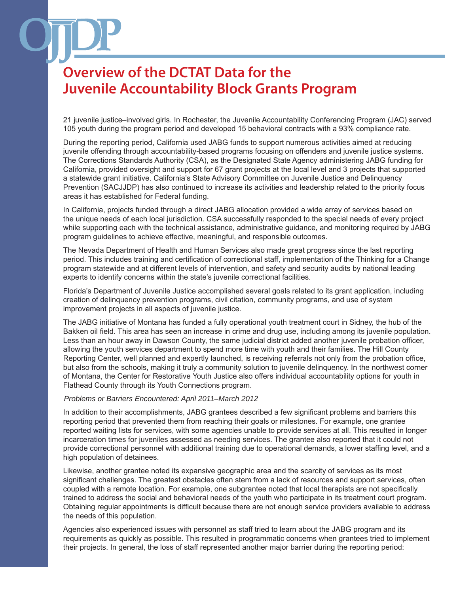21 juvenile justice–involved girls. In Rochester, the Juvenile Accountability Conferencing Program (JAC) served 105 youth during the program period and developed 15 behavioral contracts with a 93% compliance rate.

During the reporting period, California used JABG funds to support numerous activities aimed at reducing juvenile offending through accountability-based programs focusing on offenders and juvenile justice systems. The Corrections Standards Authority (CSA), as the Designated State Agency administering JABG funding for California, provided oversight and support for 67 grant projects at the local level and 3 projects that supported a statewide grant initiative. California's State Advisory Committee on Juvenile Justice and Delinquency Prevention (SACJJDP) has also continued to increase its activities and leadership related to the priority focus areas it has established for Federal funding.

In California, projects funded through a direct JABG allocation provided a wide array of services based on the unique needs of each local jurisdiction. CSA successfully responded to the special needs of every project while supporting each with the technical assistance, administrative guidance, and monitoring required by JABG program guidelines to achieve effective, meaningful, and responsible outcomes.

The Nevada Department of Health and Human Services also made great progress since the last reporting period. This includes training and certification of correctional staff, implementation of the Thinking for a Change program statewide and at different levels of intervention, and safety and security audits by national leading experts to identify concerns within the state's juvenile correctional facilities.

Florida's Department of Juvenile Justice accomplished several goals related to its grant application, including creation of delinquency prevention programs, civil citation, community programs, and use of system improvement projects in all aspects of juvenile justice.

The JABG initiative of Montana has funded a fully operational youth treatment court in Sidney, the hub of the Bakken oil field. This area has seen an increase in crime and drug use, including among its juvenile population. Less than an hour away in Dawson County, the same judicial district added another juvenile probation officer, allowing the youth services department to spend more time with youth and their families. The Hill County Reporting Center, well planned and expertly launched, is receiving referrals not only from the probation office, but also from the schools, making it truly a community solution to juvenile delinquency. In the northwest corner of Montana, the Center for Restorative Youth Justice also offers individual accountability options for youth in Flathead County through its Youth Connections program.

#### *Problems or Barriers Encountered: April 2011–March 2012*

In addition to their accomplishments, JABG grantees described a few significant problems and barriers this reporting period that prevented them from reaching their goals or milestones. For example, one grantee reported waiting lists for services, with some agencies unable to provide services at all. This resulted in longer incarceration times for juveniles assessed as needing services. The grantee also reported that it could not provide correctional personnel with additional training due to operational demands, a lower staffing level, and a high population of detainees.

Likewise, another grantee noted its expansive geographic area and the scarcity of services as its most significant challenges. The greatest obstacles often stem from a lack of resources and support services, often coupled with a remote location. For example, one subgrantee noted that local therapists are not specifically trained to address the social and behavioral needs of the youth who participate in its treatment court program. Obtaining regular appointments is difficult because there are not enough service providers available to address the needs of this population.

Agencies also experienced issues with personnel as staff tried to learn about the JABG program and its requirements as quickly as possible. This resulted in programmatic concerns when grantees tried to implement their projects. In general, the loss of staff represented another major barrier during the reporting period: